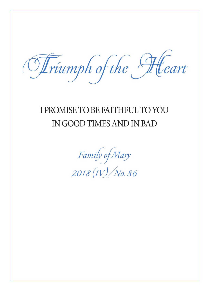Triumph of the Heart

## I PROMISE TO BE FAITHFUL TO YOU IN GOOD TIMES AND IN BAD

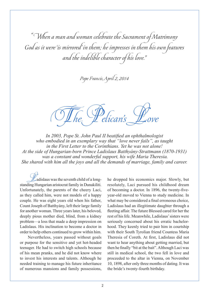"When a man and woman celebrate the Sacrament of Matrimony God as it were 'is mirrored' in them; he impresses in them his own features and the indelible character of his love."

Pope Francis, April 2, 2014

The Pelican's Love

*In 2003, Pope St. John Paul II beatified an ophthalmologist who embodied in an exemplary way that "love never fails", as taught in the First Letter to the Corinthians. Yet he was not alone! At the side of Hungarian-born Prince Ladislaus Batthyány-Strattmann (1870-1931) was a constant and wonderful support, his wife Maria Theresia. She shared with him all the joys and all the demands of marriage, family and career.*

Ladislaus was the seventh child of a longstanding Hungarian aristocrat family in Dunakiliti. Unfortunately, the parents of the cheery Laci, as they called him, were not models of a happy couple. He was eight years old when his father, Count Joseph of Batthyány, left their large family for another woman. Three years later, his beloved, deeply pious mother died, blind, from a kidney problem—a loss that made a deep impression on Ladislaus. His inclination to become a doctor in order to help others continued to grow within him.

Nevertheless, years passed without goals or purpose for the sensitive and yet hot-headed teenager. He had to switch high schools because of his mean pranks, and he did not know where to invest his interests and talents. Although he needed training to manage his future inheritance of numerous mansions and family possessions, he dropped his economics major. Slowly, but resolutely, Laci pursued his childhood dream of becoming a doctor. In 1896, the twenty-fiveyear-old moved to Vienna to study medicine. In what may be considered a final erroneous choice, Ladislaus had an illegitimate daughter through a fleeting affair. The future Blessed cared for her the rest of his life. Meanwhile, Ladislaus' sisters were seriously concerned about his erratic bachelorhood. They keenly tried to pair him in courtship with their South Tyrolian friend Countess Maria Theresia of Coreth. At first, Ladislaus did not want to hear anything about getting married, but then he finally "bit at the bait". Although Laci was still in medical school, the two fell in love and proceeded to the altar in Vienna, on November 10, 1898, after only three months of dating. It was the bride's twenty-fourth birthday.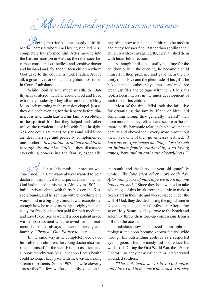## My children and my patients are my treasures

 $\widetilde{\Theta}$ eing married to the deeply faithful Maria Theresia, whom Laci lovingly called Misl, completely transformed him. After moving into the Kittsee mansion in Austria, the rebel soon became a conscientious, selfless and sensitive doctor and husband and, for the thirteen children whom God gave to the couple, a model father. Above all, a great love for God and neighbor blossomed in Count Ladislaus.

While nobility with much wealth, the Batthyanys centered their life around God and lived extremely modestly. They all assembled for Holy Mass each morning in the mansion chapel, just as they did each evening for the Rosary before dinner. It is true, Ladislaus led his family resolutely in the spiritual life, but they helped each other to live the turbulent daily life with God in sight. Yes, one could say that Ladislaus and Misl lived an ideal marriage and perfectly complemented one another. *"In a routine stroll back and forth through the mansion halls,"* they discussed everything concerning the family, especially

 $\frac{A}{A}$ s far as his medical practice was concerned, Dr. Batthyány always wanted to be a doctor for the poor; it was a special vocation which God had placed in his heart. Already in 1902, he built a private clinic with thirty beds on the Kittsee grounds, and he set it up with everything one would find in a big-city clinic. It was exceptional enough how he treated as many as eighty patients a day for free, but he often paid for their medicine and travel expenses as well. If a poor patient asked with embarrassment what he owed for his treatment, Ladislaus always answered friendly and humbly, *"Pray an Our Father for me."*

In the same way as he completely dedicated himself to the children, the young doctor also sacrificed himself for the sick. His best assistant and support thereby was Misl, but soon Laci's health could no longer keep pace with the ever-increasing stream of patients. So, in 1907, his wife cleverly "prescribed" a few weeks of family vacation in

regarding how to raise the children to be modest and ready for sacrifice. Rather than spoiling their children with extravagant gifts, they lavished them with heart-felt affection.

Although Ladislaus usually had time for the children only in the evening, he became a child himself in their presence and gave them the entirety of his love and the plentitude of his gifts: he baked fantastic cakes, played music and made ice cream, truffles and cologne with them. Ladislaus took a keen interest in the inner development of each one of his children.

Most of the time, Misl took the initiative for organizing the family. If the children did something wrong, they generally "feared" their mom more, but they felt safe and secure in the extraordinarily harmonic relationship between their parents and obeyed their every word throughout their lives. One of their governesses testified, *"I have never experienced anything close to such an intimate family relationship, a so loving atmosphere and an authentic cheerfulness."*

the south, and the thirty-six-year-old gratefully wrote, *"We love each other more each day. After nine years of marriage we are truly one body and soul."* Since they both wanted to take advantage of this break from the clinic to make a fresh start in their life and work, placed under the will of God, they decided during the joyful time in Nizza to make a general Confession. After doing so on Holy Saturday, they drove to the beach and solemnly threw their torn-up confessions from a hill into the ocean.

Ladislaus now specialized as an ophthalmologist and soon became known far and wide through his outstanding abilities as a respected eye surgeon. This obviously did not reduce his work load. During the First World War, the "Prince Doctor", as they now called him, also treated wounded soldiers.

*"The sick teach me to love God more, and I love God in the one who is sick. The sick*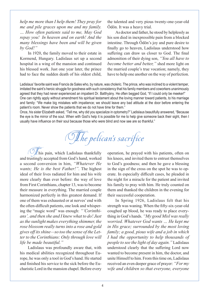*help me more than I help them! They pray for me and pile graces upon me and my family. … How often patients said to me, May God repay you! In heaven and on earth! And the many blessings have been and will be given by God!"*

In 1920, the family moved to their estate in Kormend, Hungary. Ladislaus set up a second hospital in a wing of the mansion and continued his blessed work. Just one year later, the prince had to face the sudden death of his oldest child, the talented and very pious twenty-one-year-old Ödön. It was a heavy trial.

As doctor and father, he stood by helplessly as his son died in inexpressible pain from a blocked intestine. Through Ödön's joy and pure desire to finally go to heaven, Ladislaus understood how suffering can draw us closer to God. The final admonition of their dying son, *"You all have to become better and better,"* shed more light on the married couple's true vocation; namely, they have to help one another on the way of perfection.

Ladislaus' favorite saint was Francis de Sales who, by nature, was choleric. The prince, who was inclined to a violent temper, imitated the saint's heroic struggle for goodness with such consistency that his family members and coworkers unanimously agreed that they had never experienced an impatient Dr. Batthyány. He often begged God, "If I could only be meeker!" One can rightly apply without amendment his spiritual testament about the loving manner toward patients, to his marriage and family: "We make big mistakes with impatience; we should leave any bad attitude at the door before entering the patient's room. Never show the patients that we do not have time for them."

Once, his sister Elizabeth asked, "Tell me, why did you specialize in optometry?" Ladislaus beautifully answered, "Because the eye is the mirror of the soul. When with God's help it is possible for me to help give someone back their sight, then I usually have influence on their soul because those who were blind and now see are so thankful."

The pelican's sacrifice

 $\mathbb{Z}$ his pain, which Ladislaus thankfully and trustingly accepted from God's hand, worked a second conversion in him, *"Whatever He wants; He is the best Father!".* The highest ideal of their lives radiated for him and his wife more clearly than ever before: the way of love from First Corinthians, chapter 13, was to become their measure in everything. The married couple harmonized perfectly in this greatest demand. If one of them was exhausted or at nerves' end with the often-difficult patients, one look and whispering the "magic word" was enough: *"'Corinthians', and then she and I knew what to do! Just as the sunlight makes everything shimmer, the rose blossom really turns into a rose and gold gives off its shine—so too the sense of the Letter to the Corinthians: Only through love will life be made beautiful."*

Ladislaus was profoundly aware that, with his medical abilities recognized throughout Europe, he was only a tool in God's hand. He started and finished his service to the sick before the Eucharistic Lord in the mansion chapel. Before every operation, he prayed with his patients, often on his knees, and invited them to entrust themselves to God's goodness; and then he gave a blessing in the sign of the cross on the spot he was to operate. In especially difficult cases, he pleaded in the night for a miracle for the patient and invited his family to pray with him. He truly counted on them and thanked the children in the evening for their successful cooperation.

In Spring 1926, Ladislaus felt that his strength was waning. When the fifty-six-year-old coughed up blood, he was ready to place everything in God's hands. *"My good Misl was really worried. Whatever God wants … He kept me in His grace; surrounded by the most loving family; a good, pious wife and a job in which I had the opportunity to help thousands of people to see the light of day again."* Ladislaus understood clearly that the suffering Lord now wanted to become present in him, the doctor, and unite Himself to him. From this time on, Ladislaus received an even deeper grace of prayer: *"For my wife and children so that everyone, everyone*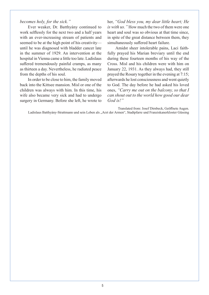## *becomes holy, for the sick."*

Ever weaker, Dr. Batthyány continued to work selflessly for the next two and a half years with an ever-increasing stream of patients and seemed to be at the high point of his creativity until he was diagnosed with bladder cancer late in the summer of 1929. An intervention at the hospital in Vienna came a little too late. Ladislaus suffered tremendously painful cramps, as many as thirteen a day. Nevertheless, he radiated peace from the depths of his soul.

In order to be close to him, the family moved back into the Kittsee mansion. Misl or one of the children was always with him. In this time, his wife also became very sick and had to undergo surgery in Germany. Before she left, he wrote to her, *"God bless you, my dear little heart; He is with us."* How much the two of them were one heart and soul was so obvious at that time since, in spite of the great distance between them, they simultaneously suffered heart failure.

Amidst sheer intolerable pains, Laci faithfully prayed his Marian breviary until the end during these fourteen months of his way of the Cross. Misl and his children were with him on January 22, 1931. As they always had, they still prayed the Rosary together in the evening at 7:15; afterwards he lost consciousness and went quietly to God. The day before he had asked his loved ones, *"Carry me out on the balcony, so that I can shout out to the world how good our dear God is!"*

Translated from: Josef Dirnbeck, Geöffnete Augen. Ladislaus Batthyány-Strattmann und sein Leben als "Arzt der Armen", Stadtpfarre und Franziskanerkloster Güssing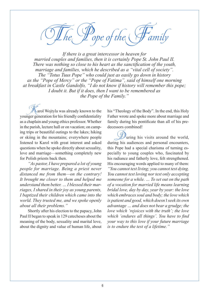ope of the  $\backslash$ 

*If there is a great intercessor in heaven for married couples and families, then it is certainly Pope St. John Paul II. There was nothing so close to his heart as the sanctification of the youth, marriage and families, which he described as a "vital cell of society". The "Totus Tuus Pope" who could just as easily go down in history as the "Pope of Mercy" or the "Pope of Fatima", said of himself one morning at breakfast in Castle Gandolfo, "I do not know if history will remember this pope; I doubt it. But if it does, then I want to be remembered as the Pope of the Family."*

arol Wojtyla was already known to the younger generation for his friendly confidentiality as a chaplain and young ethics professor. Whether in the parish, lecture hall or on vacation; on camping trips or beautiful outings to the lakes; hiking or skiing in the mountains; everywhere people listened to Karol with great interest and asked questions when he spoke directly about sexuality, love and marriage—something completely new for Polish priests back then.

*"As pastor, I have prepared a lot of young people for marriage. Being a priest never distanced me from them—on the contrary! It brought me closer to them and helped me understand them better. … I blessed their marriages, I shared in their joy as young parents, I baptized their children which came into the world. They trusted me, and we spoke openly about all their problems."*

Shortly after his election to the papacy, John Paul II began to speak in 129 catecheses about the meaning of the body, sexuality and marital love, about the dignity and value of human life, about

his "Theology of the Body". In the end, this Holy Father wrote and spoke more about marriage and family during his pontificate than all of his predecessors combined!

uring his visits around the world, during his audiences and personal encounters, this Pope had a special charisma of turning especially to young couples who, fascinated by his radiance and fatherly love, felt strengthened. His encouraging words applied to many of them: *"You cannot test living; you cannot test dying. You cannot test loving nor test only accepting someone for a while. … To set out on the path of a vocation for married life means learning bridal love, day by day, year by year: the love which embraces soul and body; the love which is patient and good, which doesn't seek its own advantage … and does not bear a grudge; the love which 'rejoices with the truth'; the love which 'endures all things'. You have to find your way to this love if your future marriage is to endure the test of a lifetime."*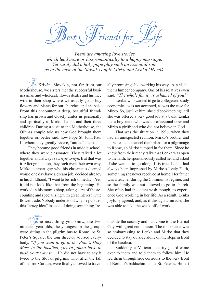Best Friends for Life

*There are amazing love stories which lead more or less romantically to a happy marriage. Yet rarely did a holy pope play such an essential role as in the case of the Slovak couple Mirko and Lenka Očenáš.*

In Kriváň, Slovakia, not far from our Motherhouse, we sisters met the successful businessman and wholesale flower dealer and his nice wife in their shop where we usually go to buy flowers and plants for our churches and chapels. From this encounter, a deep, beautiful friendship has grown and closely unites us personally and spiritually to Mirko, Lenka and their three children. During a visit to the Motherhouse, the Očenáš couple told us how God brought them together or, better said, how Pope St. John Paul II, whom they greatly revere, "united" them.

They became good friends in middle school, where they were classmates. They talked a lot together and always saw eye-to-eye. But that was it. After graduation, they each went their own way. Mirko, a smart guy who his classmates deemed would one day have a dream job, decided already in his childhood, "I want to be rich someday." Yet, it did not look like that from the beginning. He worked in his mom's shop, taking care of the accounting and specializing with great interest in the flower trade. Nobody understood why he pursued this "crazy idea" instead of doing something "re-

 $\lambda$  he next thing you know, the two nineteen-year-olds, the youngest in the group, were sitting in the pilgrim bus to Rome. At St. Peter's Square, the tour director advised everybody, *"If you want to go to the Pope's Holy Mass in the basilica, you're gonna have to push your way in."* He did not have to say it twice to the Slovak pilgrims who, after the fall of the Iron Curtain, were finally allowed to travel ally promising" like working his way up in his father's lumber company. One of his relatives even said, *"The whole family is ashamed of you!"*

Lenka, who wanted to go to college and study economics, was not accepted, as was the case for Mirko. So, just like him, she did bookkeeping until she was offered a very good job at a bank. Lenka had a boyfriend who was a professional skier and Mirko a girlfriend who did not believe in God.

That was the situation in 1996, when they had an unexpected reunion. Mirko's brother and his wife had to cancel their plans for a pilgrimage to Rome, so Mirko jumped in for them. Since he knew from their many talks that Lenka was open to the faith, he spontaneously called her and asked if she wanted to go along. It is true, Lenka had always been impressed by Mirko's lively Faith, something she never received at home. Her father was a teacher during the Communist regime, and so the family was not allowed to go to church. She often had the silent wish though, to experience God working in her life. As a result, Lenka joyfully agreed, and, as if through a miracle, she was able to take the week off of work.

outside the country and had come to the Eternal City with great enthusiasm. The mob scene was so embarrassing to Lenka and Mirko that they decided to stay outside alone on the steps in front of the basilica.

Suddenly, a Vatican security guard came over to them and told them to follow him. He led them through side corridors to the very front of Bernini's baldachin inside St. Peter's. He left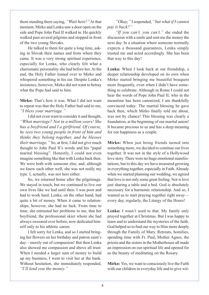them standing there saying, *"Wait here!"* At that moment, Mirko and Lenka saw a door open on the side and Pope John Paul II walked in. He quickly walked past several pilgrims and stopped in front of the two young Slovaks.

He talked to them for quite a long time, asking in Slovak their names and from where they came. It was a very strong spiritual experience, especially for Lenka, who clearly felt what a charismatic personality she had before her. At the end, the Holy Father leaned over to Mirko and whispered something in his ear. Despite Lenka's insistence, however, Mirko did not want to betray what the Pope had said to him.

**Mirko:** That's how it was. What I did not want to repeat was that the Holy Father had said to me, *"I bless your marriage."*

I did not even want to consider it and thought, *"What marriage? Not in a million years! She has a boyfriend and I a girlfriend. Of course, he sees two young people in front of him and thinks they belong together, and he blesses their marriage."* So, at first, I did not give much thought to John Paul II's words and his "papal marital blessing". Honestly, I could not even imagine something like that with Lenka back then. We were both with someone else; and, although we knew each other well, she was not really my type. I, actually, was not hers either.

So, we returned home after the pilgrimage. We stayed in touch, but we continued to live our own lives like we had until then. I was poor and had to work hard. Lenka, on the other hand, had quite a bit of money. When it came to relationships, however, she had no luck. From time to time, she entrusted her problems to me, that her boyfriend, the professional skier whom she had always swooned over before, now dedicated himself only to his athletic career.

I felt sorry for Lenka, and so I started bringing her flowers on her birthday and patron saint's day—merely out of compassion! But then Lenka also showed me compassion and above all trust: When I needed a larger sum of money to build up my business, I went to visit her at the bank. Without hesitation, she immediately responded, *"I'll lend you the money."*

*"Okay,"* I responded, *"but what if I cannot pay it back?"*

*"If you can't, you can't,"* she ended the discussion with a smile and sent me the money the next day. In a situation where someone normally expects a thousand guarantees, Lenka simply trusted me and acted accordingly. She has been that way to this day!

**Lenka:** When I look back at our friendship, a deeper relationship developed on its own when Mirko started bringing me beautiful bouquets more frequently, even when I didn't have something to celebrate. Although in Rome I could not hear the words of Pope John Paul II, who in the meantime has been canonized, I am thankfully convinced today: The marital blessing he gave back then, which Mirko finally told me about, was not by chance! This blessing was clearly a foundation, at the beginning of our marital union! It became precious to us and has a deep meaning for our happiness as a couple.

**Mirko:** When just being friends turned into something more, we decided to continue our lives together. It was not in the style of a Hollywood love story. There were no huge emotional manifestations, but to this day we have treasured growing in everything together, especially in Faith. Already when we started planning our wedding, we agreed that love is not only some great feeling. Nor is love just sharing a table and a bed. God is absolutely necessary for a harmonic relationship. And so, I wanted us to start praying together right away every day, regularly, the Liturgy of the Hours!

**Lenka:** I wasn't used to that. My family only prayed together at Christmas. But I was happy to learn and to understand the mysteries of the faith. God helped us to find our way to Him more deeply through the Family of Mary. Retreats, homilies, spending time with Fr. Paul, Mother Agnes, the priests and the sisters in the Motherhouse all made an impression on our spiritual life and opened for us the beauty of meditating on the Rosary.

**Mirko:** Yes, we want to consciously live the Faith with our children in everyday life and to give wit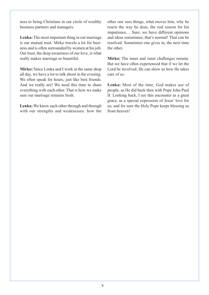ness to being Christians in our circle of wealthy business partners and managers.

**Lenka:** The most important thing in our marriage is our mutual trust. Mirko travels a lot for business and is often surrounded by women at his job. Our trust, the deep awareness of our love, is what really makes marriage so beautiful.

**Mirko:** Since Lenka and I work in the same shop all day, we have a lot to talk about in the evening. We often speak for hours, just like best friends. And we really are! We need this time to share everything with each other. That is how we make sure our marriage remains fresh.

**Lenka:** We know each other through and through with our strengths and weaknesses: how the

other one sees things, what moves him, why he reacts the way he does, the real reason for his impatience… Sure, we have different opinions and ideas sometimes; that's normal! That can be resolved. Sometimes one gives in, the next time the other.

**Mirko:** The inner and outer challenges remain. But we have often experienced that if we let the Lord be involved, He can show us how He takes care of us.

**Lenka:** Most of the time, God makes use of people, as He did back then with Pope John Paul II. Looking back, I see this encounter as a great grace, as a special expression of Jesus' love for us; and for sure the Holy Pope keeps blessing us from heaven!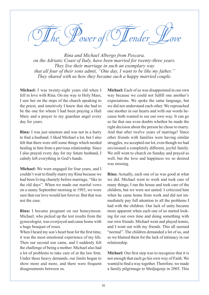The Power of Tender Love

*Rina and Michael Albergo from Pescara, on the Adriatic Coast of Italy, have been married for twenty-three years. They live their marriage in such an exemplary way that all four of their sons admit, "One day, I want to be like my father." They shared with us how they became such a happy married couple.*

**Michael:** I was twenty-eight years old when I fell in love with Rina. On my way to Holy Mass, I saw her on the steps of the church speaking to the priest, and intuitively I knew that she had to be the one for whom I had been praying a Hail Mary and a prayer to my guardian angel every day for years.

**Rina:** I was just nineteen and was not in a hurry to find a husband. I liked Michael a lot, but I also felt that there were still some things which needed healing in him from a previous relationship. Since I also prayed every day for my future husband, I calmly left everything in God's hands.

**Michael:** We were engaged for four years, and I couldn't wait to finally marry my Rina because we had been living chastely before marriage, "like in the old days". When we made our marital vows on a sunny September morning in 1993, we were sure that our love would last forever. But that was not the case.

**Rina:** I became pregnant on our honeymoon. Michael, who picked up the test results from the gynecologist, was overjoyed and came home with a huge bouquet of roses.

When I heard my son's heart beat for the first time, it was the most emotional experience of my life. Then our second son came, and I suddenly felt the challenge of being a mother. Michael also had a lot of problems to take care of at the law firm. Under these heavy demands, our limits began to show more and more, and there were frequent disagreements between us.

**Michael:** Each of us was disappointed in our own way because we could not fulfill one another's expectations. We spoke the same language, but we did not understand each other. We reproached one another in our hearts and with our words because both wanted to see our own way. It can go so far that one even doubts whether he made the right decision about the person he chose to marry. And that after twelve years of marriage! Since other friends with families were having similar struggles, we accepted our lot, even though we had envisioned a completely different, joyful family. We still went to church on Sunday and prayed as well, but the love and happiness we so desired was missing.

**Rina:** Actually, each one of us was good at what we did. Michael went to work and took care of many things; I ran the house and took care of the children, but we were not united. I criticized him when he came home from work and did not immediately pay full attention to all the problems I had with the children. Our lack of unity became more apparent when each one of us started looking for our own time and doing something with our own friends. Michael went and played tennis, and I went out with my friends. This all seemed "normal". The children demanded a lot of us, and so we blamed them for the lack of intimacy in our relationship.

**Michael:** Our first step was to recognize that it is not enough that each go his own way of Faith. We wanted to find a way together. Therefore, we made a family pilgrimage to Medjugorje in 2005. This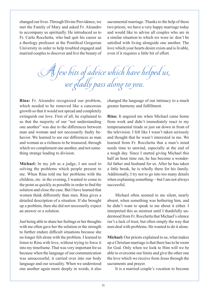changed our lives. Through Divine Providence, we met the Family of Mary and asked Fr. Aleandro to accompany us spiritually. He introduced us to Fr. Carlo Rocchetta, who had quit his career as a theology professor at the Pontifical Gregorian University in order to help troubled engaged and married couples to discover and live the beauty of sacramental marriage. Thanks to the help of these two priests, we have a very happy marriage today and would like to advise all couples who are in a similar situation to which we were in: don't be satisfied with living alongside one another. The love which your hearts desire exists and is livable, even if it requires a little bit of effort.

A few bits of advice which have helped us, we gladly pass along to you.

**Rina:** Fr. Aleandro recognized our problem, which needed to be removed like a cancerous growth so that it would not spread and completely extinguish our love. First of all, he explained to us that the majority of our "not understanding one another" was due to the differences between man and woman and not necessarily faulty behavior. We learned to see our differences as man and woman as a richness to be treasured, through which we complement one another, and not something strange leading to division.

**Michael:** In my job as a judge, I am used to solving the problems which people present to me. When Rina told me her problems with the children, etc. in the evening, I wanted to come to the point as quickly as possible in order to find the solution and close the case. But I have learned that women think differently than men. Rina gives a detailed description of a situation. If she brought up a problem, then she did not necessarily expect an answer or a solution.

Just being able to share her feelings or her thoughts with me often gave her the solution or the strength to further endure difficult situations because she no longer felt alone with the problem. I learned to listen to Rina with love, without trying to force it into my timeframe. That was very important for us because when the language of our communication was unsuccessful, it carried over into our body language and our sexuality. When we understood one another again more deeply in words, it also changed the language of our intimacy to a much greater harmony and fulfillment.

**Rina:** It angered me when Michael came home from work and didn't immediately react to my temperamental tirade or just sat down in front of the television. I felt like I wasn't taken seriously and thought that he wasn't interested in me. We learned from Fr. Rocchetta that a man's mind needs time to unwind, especially at the end of a tough day. Since I started giving Michael this half an hour time out, he has become a wonderful father and husband for us. After he has taken a little break, he is wholly there for his family. Additionally, I try not to go into too many details when explaining something—but I am not always successful.

Michael often seemed to me silent, nearly absent, when something was bothering him, and he didn't want to speak to me about it either. I interpreted this as mistrust until I thankfully understood from Fr. Rocchetta that Michael's silence isn't a lack of trust, but often simply the way that men deal with problems. He wanted to do it alone.

**Michael:** Our priests explained to us, what makes up a Christian marriage is that there has to be room for God. Only when we look to Him will we be able to overcome our limits and give the other one the love which we receive from Jesus through the sacraments and prayer.

It is a married couple's vocation to become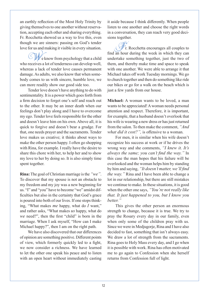an earthly reflection of the Most Holy Trinity by giving themselves to one another without reservation, accepting each other and sharing everything. Fr. Rocchetta showed us a way to live this, even though we are sinners: passing on God's tender love for us and making it visible in every situation.

We know from psychology that a child who receives a lot of tenderness can develop well, whereas a lack of tender love causes permanent damage. As adults, we also know that when somebody comes to us with sincere, humble love, we can more readily show our good side too.

Tender love doesn't have anything to do with sentimentality. It is a power which goes forth from a firm decision to forget one's self and reach out to the other. It may be an inner death when our feelings don't play along and I have to overcome my ego. Tender love feels responsible for the other and doesn't leave him on his own. Above all, it is quick to forgive and doesn't bear a grudge. For that, one needs prayer and the sacraments. Tender love makes us creative; it thinks about ways to make the other person happy. I often go shopping with Rina, for example. I really have the desire to share this chore with her, to help her and to show my love to her by doing so. It is also simply time spent together.

**Rina:** The goal of Christian marriage is the *"we"*. To discover that my spouse is not an obstacle to my freedom and my joy was a new beginning for us. "I" and "you" have to become "we" amidst difficulties but also in the certainty that God's grace is poured into both of our lives. If one stops thinking, "What makes *me* happy, what do *I* want," and rather asks, "What makes *us* happy, what do *we* need?", then the first "child" is born in the marriage. When I ask myself, "How can I make Michael happy?", then I am on the right path.

We have also discovered that our differences of opinion are something positive. Different points of view, which formerly quickly led to a fight, we now consider a richness. We have learned to let the other one speak his peace and to listen with an open heart without immediately casting it aside because I think differently. When people listen to one another and choose the right words in a conversation, they can reach very good decisions together.

Fr. Rocchetta encourages all couples to find an hour during the week in which they can undertake something together, just the two of them, and thereby make time and space to speak with one another. We were able to arrange it that Michael takes off work Tuesday mornings. We go to church together and then do something like ride our bikes or go for a walk on the beach which is just a few yards from our house.

**Michael:** A woman wants to be loved, a man wants to be appreciated! A woman needs personal attention and respect. Therefore, it is important, for example, that a husband doesn't overlook that his wife is wearing a new dress or has just returned from the salon. To then make the comment, *"And what did it cost?",* is offensive to a woman.

For men, it is similar when his wife doesn't recognize his success at work or if he drives the wrong way and she comments, *"I knew it. It's always the same; you can't find the way."* In this case the man hopes that his failure will be overlooked and the woman helps him by standing by him and saying, *"It doesn't matter, we'll find the way."* Rina and I have been able to change a lot in our relationship, but there are still mistakes we continue to make. In these situations, it is good when the other one says, *"You're not really like that. It just happened to you, but I know you better."*

This gives the other person an enormous strength to change, because it is true. We try to pray the Rosary every day in our family, even when only some of the children pray with us. Since we were in Medjugorje, Rina and I have also decided to fast, something that isn't always easy. We draw a lot of strength from the sacraments. Rina goes to Holy Mass every day, and I go when it is possible with work. Rina has often motivated me to go again to Confession when she herself returns from Confession full of light.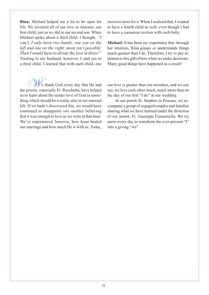**Rina:** Michael helped me a lot to be open for life. We invested all of our love in Antonio, our first child, just as we did in our second son. When Michael spoke about a third child, I thought, *"I can't, I only have two hands, one son on the left and one on the right; more isn't possible. Then I would have to divide the love in three!"* Trusting in my husband, however, I said yes to a third child. I learned that with each child, one

We thank God every day that He and the priests, especially Fr. Rocchetta, have helped us to learn about the tender love of God as something which should be a reality also in our married life. If we hadn't discovered this, we would have continued to disappoint one another believing that it was enough to love as we were at that time. We've experienced, however, how Jesus healed our marriage and how much He is with us. Today,

receives more love. When I realized that, I wanted to have a fourth child as well, even though I had to have a caesarean section with each baby.

**Michael:** It has been my experience that, through her intuition, Rina grasps or understands things much quicker than I do. Therefore, I try to pay attention to this gift of hers when we make decisions. Many good things have happened as a result!

our love is greater than our mistakes, and we can say, we love each other much, much more than on the day of our first "I do" at our wedding.

In our parish St. Stephen in Pescara, we accompany a group of engaged couples and families sharing what we have learned under the direction of our pastor, Fr. Giuseppe Femminella. We try anew every day to transform the ever-present "I" into a giving "we".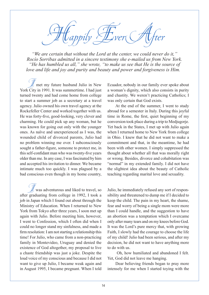Alappily Ever After

*"We are certain that without the Lord at the center, we could never do it," Rocío Sorribas admitted in a sincere testimony she e-mailed us from New York. "He has humbled us all," she wrote, "to make us see that He is the source of love and life and joy and purity and beauty and power and forgiveness is Him.* 

met my future husband Julio in New York City in 1991. It was summertime. I had just turned twenty and had come home from college to start a summer job as a secretary at a travel agency. Julio owned his own travel agency at the Rockefeller Center and worked together with us. He was forty-five, good-looking, very clever and charming. He could pick up any woman, but he was known for going out only with the younger ones. As naïve and unexperienced as I was, the wounded child of divorced parents, Julio had no problem winning me over. I subconsciously sought a father-figure, someone to protect me, in this self-confidant man who was twenty-five years older than me. In any case, I was fascinated by him and accepted his invitation to dinner. We became intimate much too quickly. I was plagued by a bad conscious even though in my home country,

 $\mathbb Z$  was adventurous and liked to travel, so after graduating from college in 1992, I took a job in Japan which I found out about through the Ministry of Education. When I returned to New York from Tokyo after three years, I soon met up again with Julio. Before meeting him, however, I went to Confession, which I often did when I could no longer stand my sinfulness, and made a firm resolution: I am not starting a relationship this time! For Julio, who came from a non-practicing family in Montevideo, Uruguay and denied the existence of God altogether, my proposal to live a chaste friendship was just a joke. Despite the loud voice of my conscious and because I did not want to give up Julio, I became weak again and in August 1995, I became pregnant. When I told Ecuador, nobody in our family ever spoke about a woman's dignity, which also consists in purity and chastity. We weren't practicing Catholics; I was only certain that God exists.

At the end of the summer, I went to study abroad for a semester in Italy. During this joyful time in Rome, the first, quiet beginning of my conversion took place during a trip to Medjugorje. Yet back in the States, I met up with Julio again when I returned home to New York from college in Ohio. I knew that he did not want to make a commitment and that, in the meantime, he had been with other women. I simply suppressed the thought about whether all that was morally right or wrong. Besides, divorce and cohabitation was "normal" in my extended family. I did not have the slightest idea about the beauty of Catholic teaching regarding marital love and sexuality.

Julio, he immediately refused any sort of responsibility and threatened to dump me if I decided to keep the child. The pain in my heart, the shame, fear and worry of being a single mom were more than I could handle, and the suggestion to have an abortion was a temptation which I overcame only after many tears and on my knees before God. It was the Lord's pure mercy that, with growing Faith, I slowly had the courage to choose the life of my child! Julio had been serious, and after my decision, he did not want to have anything more to do with us.

 Oh, how humiliated and abandoned I felt. Yet, God did not leave me hanging.

Dear believing friends began to pray more intensely for me when I started toying with the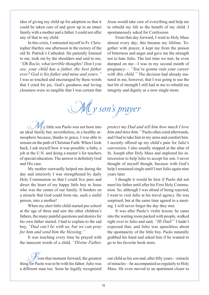idea of giving my child up for adoption so that it could be taken care of and grow up in an intact family with a mother and a father. I could not offer any of that to my child.

In this crisis, I entrusted myself to Fr. Christopher Hartley one afternoon in the rectory of the old St. Patrick's Cathedral. He patiently listened to me, took me by the shoulders and said to me, *"Oh Rocío, what terrible thoughts! Don't you see, your child has a father, the best father ever? God is his father and mine and yours."* I was so touched and encouraged by these words that I cried for joy. God's goodness and loving closeness were so tangible that I was certain that

Jesus would take care of everything and help me to rebuild my life to the benefit of my child. I spontaneously asked for Confession.

From that day forward, I went to Holy Mass almost every day; this became my lifeline. Together with prayer, it kept me from the poison of bitterness and anger and gave me the strength not to hate Julio. The last time we met, he even dumped on me—I was in my second month of pregnancy— *"You're gonna ruin your career*  with this child." The decision had already matured in me, however, that I was going to use the last bit of strength I still had in me to rebuild my integrity and dignity as a now single mom.

M y son's prayer

 $\mathcal{U}_\text{V}$  little son Paolo was not born into an ideal family but, nevertheless, in a healthy atmosphere because, thanks to grace, I was able to remain on the path of Christian Faith. When I look back, I ask myself how it was possible: a baby, a job at the U.N. and doing a master's for teachers of special education. The answer is definitely God and His care.

My mother outwardly helped me during the day and interiorly I was strengthened by daily Holy Communion so that I could live pure and direct the heart of my happy little boy to Jesus who was the center of our family. It borders on a miracle that God could form me, such a sinful person, into a mother!

When my alert little child started pre-school at the age of three and saw the other children's fathers, the many painful questions and desires for his own father started. I had to explain to the sad boy, *"Dad can't be with us, but we can pray for him and send him the blessing."*

It was touching every time he prayed with the innocent words of a child, *"Divine Father,* 

From that moment forward, the greatest thing for Paolo was to be with his father. Julio was a different man too. Soon he legally recognized

*protect my Dad and tell him how much I love him and miss him."* Paolo often cried afterwards, and I had to take him in my arms and comfort him. I secretly offered up my child's pain for Julio's conversion. I also usually stopped at the altar of St. Joseph after Holy Mass and implored his intercession to help Julio to accept his son. I never thought of myself though, because with God's help I remained single until I met Julio again nine years later.

I thought it would be best if Paolo did not meet his father until after his First Holy Communion. So, although I was afraid of being rejected, I went to visit Julio at his travel agency. He was surprised, but at the same time agreed to a meeting. I will never forget the day they met.

It was after Paolo's violin lesson; he came into the waiting room packed with people, walked right over to Julio and said, *"Hi Dad!"* I hadn't expected that, and Julio was speechless about the spontaneity of the little boy. Paolo naturally grabbed his hand and asked him if he wanted to go to his favorite book store.

our child as his son and, after fifty years—miracle of miracles—he accompanied us regularly to Holy Mass. He even moved to an apartment closer to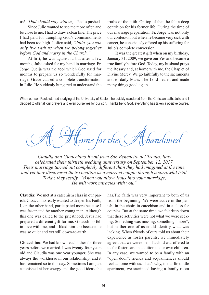us! *"Dad should stay with us,"* Paolo pushed.

Since Julio wanted to see me more often and be close to me, I had to draw a clear line. The price I had paid for trampling God's commandments had been too high. I often said, *"Julio, you can only live with us when we belong together before God and marry in the Church."* 

At first, he was against it, but after a few months, Julio asked for my hand in marriage. Fr. Jorge Queija was the tool which God used for months to prepare us so wonderfully for marriage. Grace caused a complete transformation in Julio. He suddenly hungered to understand the

truths of the faith. On top of that, he felt a deep contrition for his former life. During the time of our marriage preparation, Fr. Jorge was not only our confessor, but when he became very sick with cancer, he consciously offered up his suffering for Julio's complete conversion.

It was the greatest gift when on my birthday, January 31, 2009, we gave our Yes and became a true family before God. Today, my husband prays the Rosary and, at home with me, the Chaplet of Divine Mercy. We go faithfully to the sacraments and to daily Mass. The Lord healed and made many things good again.

When our son Paolo started studying at the University of Boston, he quickly wandered from the Christian path. Julio and I decided to offer all our prayers and even ourselves for our son. Thanks be to God, everything has taken a positive course.

 $\ell$ ome for the Atbandoned

*Claudia and Gioacchino Bruni from San Benedetto del Tronto, Italy celebrated their thirtieth wedding anniversary on September 12, 2017. Their marriage turned out completely different than they had imagined at the time, and yet they discovered their vocation as a married couple through a sorrowful trial. Today, they testify, "When you allow Jesus into your marriage, He will work miracles with you."*

**Claudia:** We met at a catechism class in our parish. Gioacchino really wanted to deepen his Faith; I, on the other hand, participated more because I was fascinated by another young man. Although this one was called to the priesthood, Jesus had prepared a different gift for me. Gioacchino fell in love with me, and I liked him too because he was so quiet and yet still down-to-earth.

**Gioacchino:** We had known each other for three years before we married. I was twenty-four years old and Claudia was one year younger. She was always the workhorse in our relationship, and it has remained so to this day. Sometimes I am just astonished at her energy and the good ideas she

has.The faith was very important to both of us from the beginning. We were active in the parish: in the choir, in catechism and in a class for couples. But at the same time, we felt deep down that these activities were not what we were seeking. Something was missing, something "more", but neither one of us could identify what was lacking. When friends of ours told us about their experience as foster parents, we immediately agreed that we were open if a child was offered to us for foster care in addition to our own children. In any case, we wanted to be a family with an "open door"; friends and acquaintances should feel at home with us. That's why, in our first little apartment, we sacrificed having a family room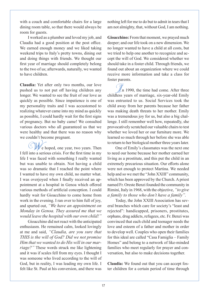with a couch and comfortable chairs for a large dining room table, so that there would always be room for guests.

I worked as a plumber and loved my job, and Claudia had a good position at the post office. We earned enough money and we liked taking weekend trips to Italy's pretty towns, dining out and doing things with friends. We thought our first year of marriage should completely belong to the two of us; afterwards, naturally, we wanted to have children.

**Claudia:** Yet after only two months, our love pushed us to not put off having children any longer. We wanted to see the fruit of our love as quickly as possible. Since impatience is one of my personality traits and I was accustomed to realizing whatever came into my mind as quickly as possible, I could hardly wait for the first signs of pregnancy. But no baby came! We consulted various doctors who all guaranteed us that we were healthy and that there was no reason why we couldn't become pregnant.

We hoped, one year, two years. Then I fell into a serious crisis. For the first time in my life I was faced with something I really wanted but was unable to obtain. Not having a child was so dramatic that I reached the point where I wanted to have my own child, no matter what. I was overjoyed when I finally received an appointment at a hospital in Genoa which offered various methods of artificial conception. I could hardly wait for Gioacchino to come home from work in the evening. I ran over to him full of joy, and spurted out, *"We have an appointment on Monday in Genoa. They assured me that we would leave the hospital with our own child!"*

Gioacchino did not react with the anticipated enthusiasm. He remained calm, looked lovingly at me and said, *"Claudia, are you sure that THIS is the will of God? Did we not promise Him that we wanted to do His will in our marriage?"* These words struck me like lightening and it was if scales fell from my eyes. I thought I was someone who lived according to the will of God, but in reality, I was leading my own life. I felt like St. Paul at his conversion, and there was

nothing left for me to do but to admit in tears that I am not almighty, that, without God, I am nothing.

**Gioacchino:** From that moment, we prayed much deeper; and our life took on a new dimension. We no longer wanted to have a child at all costs, but we tried to help one another to recognize and accept the will of God. We considered whether we should take in a foster child. Through friends, we found out about an organization where we could receive more information and take a class for foster parents.

 $\mathbb{Z}$ n 1990, the time had come. After three childless years of marriage, six-year-old Emily was entrusted to us. Social Services took the child away from her parents because her father was making death threats to her mother. Emily was a tremendous joy for us, but also a big challenge. I still remember well how, repeatedly, she provocatively scratched our valuable chairs to test whether we loved her or our furniture more. We learned so much through her before she was able to return to her biological mother three years later.

One of Emily's classmates was the next one to need our home because her mother earned her living as a prostitute, and this put the child in an extremely precarious situation. Our efforts alone were not enough to protect Martina. We needed help and so we met the "John XXIII" community, which has been approved by the Church. A priest named Fr. Oreste Benzi founded the community in Rimini, Italy in 1968, with the objective, *"to give a family to those who don't have a family".*

Today, the John XXIII Association has several branches which care for society's "least and rejected": handicapped, prisoners, prostitutes, orphans, drug addicts, refugees, etc. Fr. Benzi was convinced that each child and teenager needs the love and esteem of a father and mother in order to develop well. Couples who open their families for this ideal are called "Casa Famiglia – Family Homes" and belong to a network of like-minded families who meet regularly for prayer and conversation, but also to make decisions together.

**Claudia:** We found out that you can accept foster children for a certain period of time through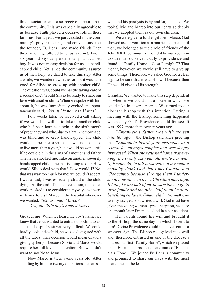this association and also receive support from the community. This was especially agreeable to us because Faith played a decisive role in these families. For a year, we participated in the community's prayer meetings and conventions, met the founder, Fr. Benzi, and made friends.Then those in charge offered to let us take in Silvio, a six-year-old physically and mentally handicapped boy. It was not an easy decision for us—a handicapped child. Yet, since the community assured us of their help, we dared to take this step. After a while, we wondered whether or not it would be good for Silvio to grow up with another child. The question was, could we handle taking care of a second one? Would Silvio be ready to share our love with another child? When we spoke with him about it, he was immediately excited and spontaneously said, *"Yes, if his name is Marco!"*

Four weeks later, we received a call asking if we would be willing to take in another child who had been born as a twin in the sixth month of pregnancy and who, due to a brain hemorrhage, was blind and severely handicapped. The child would not be able to speak and was not expected to live more than a year, but it would be wonderful if he could die in the arms of a mother and father. The news shocked me. Take on another, severely handicapped child, one that is going to die? How would Silvio deal with that? How would I? No, that was way too much for me; we couldn't accept. I was afraid; I was especially afraid of the child dying. At the end of the conversation, the social worker asked us to consider it anyways; we were welcome to visit Marco in the hospital whenever we wanted. *"Excuse me? Marco?"* 

*"Yes, the little boy's named Marco."*

**Gioacchino:** When we heard the boy's name, we knew that Jesus wanted to entrust this child to us. The first hospital visit was very difficult. We could hardly look at the child, he was so disfigured with all the tubes. This decision would mean Claudia giving up her job because Silvio and Marco would require her full love and attention. But we didn't want to say No to Jesus.

Now Marco is twenty-one years old. After standing by him for twenty operations, he can see

well and his paralysis is by and large healed. We took Silvio and Marco into our hearts so deeply that we adopted them as our own children.

We were given a further gift with Marco: God showed us our vocation as a married couple. Until then, we belonged to the circle of friends of the John XXIII community. Could it be our vocation to surrender ourselves totally to providence and found a "Family Home – Casa Famiglia"? That meant, however, we would still have to give up some things. Therefore, we asked God for a clear sign to be sure that it was His will because then He would give us His strength.

**Claudia:** We wanted to make this step dependent on whether we could find a house in which we could take in several people. We turned to our diocesan bishop with this intention. During a meeting with the Bishop, something happened which only God's Providence could foresee. It was 1997, more than twenty years ago.

*"Emanuela's father was with me ten minutes ago,"* the Bishop said after greeting me. *"Emanuela heard your testimony at a retreat for engaged couples and was deeply impressed. When she returned home that evening, the twenty-six-year-old wrote her will: 'I, Emanuela, in full possession of my mental capacity, thank God that I met Claudia and Gioacchino because through them I understood how one can live a Christian marriage. If I die, I want half of my possessions to go to their family and the other half to an institute benefiting children. Emanuela.'"* Normally, no twenty-six-year-old writes a will. God must have given the young woman a preconception, because one month later Emanuela died in a car accident.

Her parents found her will and brought it to the Bishop, the same day on which I went to him! Divine Providence could not have sent us a stronger sign. The Bishop recognized it as well and, therefore, entrusted us one of the diocese's houses, our first "Family Home", which we placed under Emanuela's protection and named "Emanuela's Home". We joined Fr. Benzi's community and promised to share our lives with the most abandoned, "the least".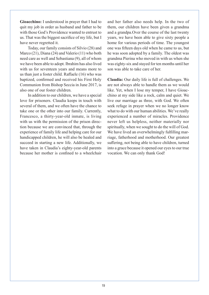**Gioacchino:** I understood in prayer that I had to quit my job in order as husband and father to be with those God's Providence wanted to entrust to us. That was the biggest sacrifice of my life, but I have never regretted it.

Today, our family consists of Silvio (28) and Marco (21), Diana (24) and Valerio (11) who both need care as well and Sebastiana (9), all of whom we have been able to adopt. Ibrahim has also lived with us for seventeen years and means more to us than just a foster child. Raffaele (16) who was baptized, confirmed and received his First Holy Communion from Bishop Seccia in June 2017, is also one of our foster children.

In addition to our children, we have a special love for prisoners. Claudia keeps in touch with several of them, and we often have the chance to take one or the other into our family. Currently, Francesco, a thirty-year-old inmate, is living with us with the permission of the prison direction because we are convinced that, through the experience of family life and helping care for our handicapped children, he will also be healed and succeed in starting a new life. Additionally, we have taken in Claudia's eighty-year-old parents because her mother is confined to a wheelchair and her father also needs help. In the two of them, our children have been given a grandma and a grandpa.Over the course of the last twenty years, we have been able to give sixty people a home for various periods of time. The youngest one was fifteen days old when he came to us, but he was soon adopted by a family. The oldest was grandma Pierina who moved in with us when she was eighty-six and stayed for ten months until her son was able to take care of her.

**Claudia:** Our daily life is full of challenges. We are not always able to handle them as we would like. Yet, when I lose my temper, I have Gioacchino at my side like a rock, calm and quiet. We live our marriage as three, with God. We often seek refuge in prayer when we no longer know what to do with our human abilities. We've really experienced a number of miracles. Providence never left us helpless, neither materially nor spiritually, when we sought to do the will of God. We have lived an overwhelmingly fulfilling marriage, fatherhood and motherhood. Our greatest suffering, not being able to have children, turned into a grace because it opened our eyes to our true vocation. We can only thank God!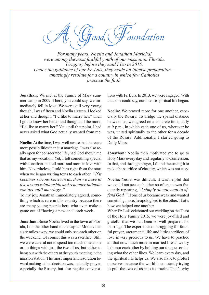,<br>oundation

*For many years, Noelia and Jonathan Marichal were among the most faithful youth of our mission in Florida, Uruguay before they said I Do in 2015. Under the guidance of our Fr. Luis, they made an intense preparation amazingly resolute for a country in which few Catholics practice the faith.*

**Jonathan:** We met at the Family of Mary summer camp in 2009. There, you could say, we immediately fell in love. We were still very young though, I was fifteen and Noelia sixteen. I looked at her and thought, "I'd like to marry her." Then I got to know her better and thought all the more, "I'd like to marry her." Yet, until that point, I had never asked what God actually wanted from me.

**Noelia:** At the time, I was well aware that there are more possibilities than just marriage. I was also really open for consecrated life, had God shown me that as my vocation. Yet, I felt something special with Jonathan and fell more and more in love with him. Nevertheless, I told him right from the start when we began writing texts to each other, *"If it becomes serious between us, then we have to live a good relationship and renounce intimate contact until marriage."*

To my joy, Jonathan immediately agreed, something which is rare in this country because there are many young people here who even make a game out of "having a new one" each week.

**Jonathan:** Since Noelia lived in the town of Florida, I on the other hand in the capital Montevideo sixty miles away, we could only see each other on the weekend. Of course, this was a sacrifice. Still, we were careful not to spend too much time alone or do things with just the two of us, but rather to hang out with the others at the youth meeting in the mission station. The most important resolution toward making a final decision was, naturally, prayer, especially the Rosary, but also regular conversations with Fr. Luis. In 2013, we were engaged. With that, one could say, our intense spiritual life began.

**Noelia:** We prayed more for one another, especially the Rosary. To bridge the spatial distance between us, we agreed on a concrete time, daily at 9 p.m., in which each one of us, wherever he was, united spiritually to the other for a decade of the Rosary. Additionally, I started going to Daily Mass.

**Jonathan:** Noelia then motivated me to go to Holy Mass every day and regularly to Confession. In that, and through prayer, I found the strength to make the sacrifice of chastity, which was not easy.

**Noelia:** Yes, it was difficult. It was helpful that we could not see each other so often, as was frequently repeating, *"I simply do not want to offend God."* If one of us became weak and wanted something more, he apologized to the other. That's how we helped one another.

When Fr. Luis celebrated our wedding on the Feast of the Holy Family 2015, we were joy-filled and grateful that we had been so well prepared for marriage. The experience of struggling for faithful prayer, sacramental life and little sacrifices of love is very precious to us. We have to practice all that now much more in married life as we try to honor each other by holding our tongues or doing what the other likes. We learn every day, and the spiritual life helps us. We also have to protect ourselves because the world is constantly trying to pull the two of us into its tracks. That's why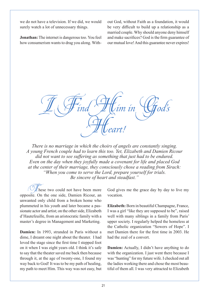we do not have a television. If we did, we would surely watch a lot of unnecessary things.

**Jonathan:** The internet is dangerous too. You feel how consumerism wants to drag you along. With-

out God, without Faith as a foundation, it would be very difficult to build up a relationship as a married couple. Why should anyone deny himself and make sacrifices? God is the firm guarantee of our mutual love! And this guarantee never expires!

I Find Him in God's Heart!

*There is no marriage in which the choirs of angels are constantly singing. A young French couple had to learn this too. Yet, Elizabeth and Damien Ricour did not want to see suffering as something that just had to be endured. Even on the day when they joyfully made a covenant for life and placed God at the center of their marriage, they consciously chose a reading from Sirach: "When you come to serve the Lord, prepare yourself for trials. Be sincere of heart and steadfast."*

hese two could not have been more opposite. On the one side, Damien Ricour, an unwanted only child from a broken home who plummeted in his youth and later became a passionate actor and artist; on the other side, Elizabeth d'Hautefeuille, from an aristocratic family with a master's degree in Management and Marketing.

**Damien:** In 1993, stranded in Paris without a dime, I dreamt one night about the theater. I had loved the stage since the first time I stepped foot on it when I was eight years old. I think it's safe to say that the theater saved me back then because through it, at the age of twenty-one, I found my way back to God! It was to be my path of healing, my path to meet Him. This way was not easy, but

God gives me the grace day by day to live my vocation.

**Elizabeth:** Born in beautiful Champagne, France, I was a girl "like they are supposed to be", raised well with many siblings in a family from Paris' upper society. I regularly helped the homeless at the Catholic organization "Sowers of Hope". I met Damien there for the first time in 2003. He had the zeal of a convert.

**Damien:** Actually, I didn't have anything to do with the organization. I just went there because I was "hunting" for my future wife. I checked out all the ladies working there and chose the most beautiful of them all. I was very attracted to Elizabeth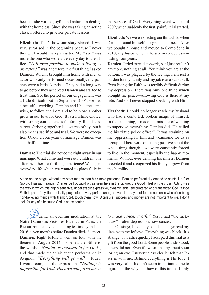because she was so joyful and natural in dealing with the homeless. Since she was taking an acting class, I offered to give her private lessons.

**Elizabeth:** That's how our story started. I was very surprised in the beginning because I never thought I would marry an actor. My "type" was more the one who wore a tie every day to the office. *"Is it even possible to make a living as an actor?"* was, therefore, the first thing I asked Damien. When I brought him home with me, an actor who only performed occasionally, my parents were a little skeptical. They had a long way to go before they accepted Damien and started to trust him. So, the period of our engagement was a little difficult, but in September 2005, we had a beautiful wedding. Damien and I had the same wish, to follow the Lord and to help one another grow in our love for God. It is a lifetime choice, with strong consequences for family, friends and career. Striving together is a source of joy, but it also means sacrifice and trial. We were no exception. Of our eleven years of marriage, Damien was sick half the time.

**Damien:** The trial did not come right away in our marriage. What came first were our children, one after the other—a thrilling experience! We began everyday life which we wanted to place fully in the service of God. Everything went well until 2009, when suddenly the first, painful trial started.

**Elizabeth:** We were expecting our third child when Damien found himself in a great inner need. After we bought a house and moved to Compiègne in 2010, my husband fell into a serious depression lasting four years.

**Damien:** I tried to read, to work, but I just couldn't anymore, nothing at all! You think you are at the bottom. I was plagued by the feeling: I am just a burden for my family and my job is at a stand-still. Even living the Faith was terribly difficult during my depression. There was only one thing which brought me peace—knowing God is there at my side. And so, I never stopped speaking with Him.

**Elizabeth:** I could no longer reach my husband who had a contorted, broken image of himself. In the beginning, I made the mistake of wanting to supervise everything Damien did. He called me his "little police officer". It was straining on me, oppressing for him and wearisome for us as a couple! There was something positive about the whole thing though—we were constantly forced to live in the moment, especially the happy moments. Without ever denying his illness, Damien accepted it and recognized his frailty. I grew from this humility!

Alone on the stage, without any other means than his simple presence, Damien preferentially embodied saints like Pier Giorgio Frassati, Francis, Charles de Foucauld or, as seen here in the picture, the Good Thief on the cross. Acting was the way in which this highly sensitive, unbelievably expressive, dynamic artist encountered and transmitted God. "Since Faith is part of my life, I actually pray before every performance; above all, I pray a lot for the audience who often bring non-believing friends with them: 'Lord, touch them now!' Applause, success and money are not important to me. I don't look for any of it because God is at the center."

 $\mathcal{Y}_{\text{uring}}$  an evening meditation at the Notre Dame des Victoires Basilica in Paris, the Ricour couple gave a touching testimony in June 2016, seven months before Damien died of cancer: **Damien:** Right before I went on tour with the theater in August 2014, I opened the Bible to the words, *"Nothing is impossible for God",*  and that made me think at the performance in Avignon, *"Everything will go well."* Today, I would complete the expression, *"Nothing is impossible for God. His love can go so far as* 

*to make cancer a gift."* Yes, I had "the lucky draw"—after depression, now cancer.

On stage, I suddenly could no longer read my lines with my left eye. Everything was black! It's strange, but rather quickly I accepted this trial as a gift from the good Lord. Some people understood, others did not. Even if I wasn't happy about soon losing an eye, I nevertheless clearly felt that Jesus is with me. Behind everything is His love. I was very calm. It didn't seem important to me to figure out the why and how of this tumor. I only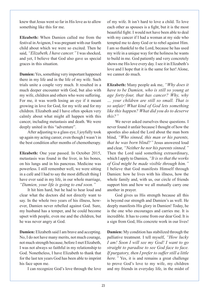knew that Jesus went so far in His love as to allow something like this for me.

**Elizabeth:** When Damien called me from the festival in Avignon, I was pregnant with our fourth child about which we were so excited. Then he said, *"Elizabeth, I have cancer."* I was shocked, and yet, I believe that God also gave us special graces in this situation.

**Damien:** Yes, something very important happened there in my life and in the life of my wife. Such trials unite a couple very much. It resulted in a much deeper encounter with God, but also with my wife, children and others who were suffering. For me, it was worth losing an eye if it meant growing in love for God, for my wife and for my children. Elizabeth and I have often spoken very calmly about what might all happen with this cancer, including metastasis and death. We were deeply united in this "adventure".

After adjusting to a glass eye, I joyfully took up again my acting career, even though I wasn't in the best condition after months of chemotherapy.

**Elizabeth:** One year passed. In October 2015, metastasis was found in the liver, in his bones, on his lungs and in his pancreas. Medicine was powerless. I still remember well, we were sitting in a café and I had to say the most difficult thing I have ever said in my life, in our whole marriage, *"Damien, your life is going to end soon."* 

It hit him hard, but he had to hear loud and clear what the doctors did not directly want to say. In the whole two years of his illness, however, Damien never rebelled against God. Sure, my husband has a temper, and he could become upset with people, even me and the children, but he was never angry at God.

**Damien:** Elizabeth said I am brave and accepting. No, I do not have many merits, not much courage, not much strength because, before I met Elizabeth, I was not always so faithful in my relationship to God. Nonetheless, I have Elizabeth to thank that for the last ten years God has been able to imprint his face upon me.

I can recognize God's love through the love

of my wife. It isn't hard to love a child. To love each other as spouses is a fight, but it is the most beautiful fight. I would not have been able to deal with my cancer if I had a woman at my side who tempted me to deny God or to rebel against Him. I am so thankful to the Lord, because he has used my wife in a unique way for the holiness he wants to build in me. God patiently and very concretely shows me His love every day. I see it in Elizabeth's love and I hope that it is the same for her! Alone, we cannot do much.

**Elizabeth:** Many people ask me, *"Why does it have to be Damien, who is still so young at age forty-four, that has cancer? Why, why … your children are still so small. That is so unfair! What kind of God lets something like this happen? What did you do to deserve this?"*

We never asked ourselves these questions. I never found it unfair because I thought of how the apostles also asked the Lord about the man born blind, *"Who sinned, this man or his parents, that he was born blind?"* Jesus answered loud and clear, *"Neither he nor his parents sinned."* Then the Lord said something extraordinary, which I apply to Damien, *"It is so that the works of God might be made visible through him."* I believe that God manifests Himself through Damien: how he lives with his illness, how the whole family and, with us, our circle of friends support him and how we all mutually carry one another in prayer.

God gives us His strength because all this is beyond our strength and Damien's as well. He deeply manifests His glory in Damien! Today, he is the one who encourages and carries me. It is incredible. It has to come from our dear God. It is a sign from God, His concrete work in our lives!

**Damien:** My condition has stabilized through the palliative treatment. I tell myself, *"How lucky I am! Soon I will see my God! I want to go straight to paradise to see God face to face. If purgatory, then I prefer to suffer still a little here.*" Yes, it is and remains a great challenge to prove God's love to my wife, my children and my friends in everyday life, in the midst of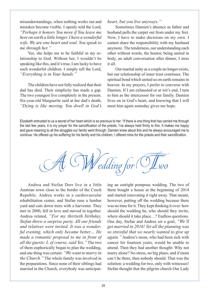misunderstandings, when nothing works out and mistakes become visible. I openly told the Lord, *"Perhaps it honors You more if You leave me here on earth a little longer. I have a wonderful wife. We are one heart and soul. You speak to me through her."*

Yes, she helps me to be faithful in my relationship to God. Without her, I wouldn't be speaking like this, and it's true, I am lucky to have such wonderful children. I simply tell the Lord, *"Everything is in Your hands."*

The children have not fully realized that their dad has died. Their simplicity has made a gap. The two youngest live completely in the present. Six-year-old Marguerite said at her dad's death, *"Dying is like moving. You dwell in God's* 

## *heart, but you live anyways."*

Sometimes Damien's absence as father and husband pulls the carpet out from under my feet. Now, I have to make decisions on my own. I cannot share the responsibility with my husband anymore. The tenderness, our understanding each other without words, the humor, being united in body, an adult conversation after dinner, I miss it all.

Our marital unity as a couple no longer exists, but our relationship of inner trust continues. The spiritual bond which united us on earth remains in heaven. In my prayers, I prefer to converse with Damien. If I am exhausted or at wit's end, I turn to him as the intercessor for our family. Damien lives on in God's heart, and knowing that I will meet him again someday gives me hope.

Elizabeth entrusted to us a secret of her heart which is so precious to her: "If there is one thing that has carried me through the last few years, it is my prayer for the sanctification of the priests. I've always held firmly to this. It makes me happy and gave meaning to all the struggles our family went through. Damien knew about this and he always encouraged me to continue. He offered up his suffering for his family and his children; I offered mine for the priests and their sanctification.

A WWedding for TIwo

Andrea and Stefan Dorr live in a little Austrian town close to the border of the Czech Republic. Andrea works in a cardiovascular rehabilitation center, and Stefan runs a lumbar yard and cuts down trees with a harvester. They met in 2000, fell in love and moved in together. Andrea related, *"For my thirtieth birthday, Stefan threw a surprise party. All our friends and relatives were invited. It was a wonderful evening, which only became better… He made a romantic proposal to me in front of all the guests; I, of course, said Yes."* The two of them euphorically began to plan the wedding, and one thing was certain: *"We want to marry in the Church."* The whole family was involved in the preparations. Since none of their siblings had married in the Church, everybody was anticipat-

ing an outright pompous wedding. The two of them bought a house at the beginning of 2014 and started renovating it right away. That meant, however, putting off the wedding because there was no time for it. They kept thinking it over: how should the wedding be, who should they invite, where should it take place…? Endless questions. One day, Stefan and Andrea set a goal, *"We'll get married in 2016! Yet all the planning was so stressful that we nearly wanted to give up again."* Andrea's mom, who had been sick with cancer for fourteen years, would be unable to attend. Then they had another thought: Why not marry alone? No stress, no big plans; and if mom can't be there, then nobody should. That was the solution: a wedding for two, only with witnesses! Stefan thought that the pilgrim church Our Lady